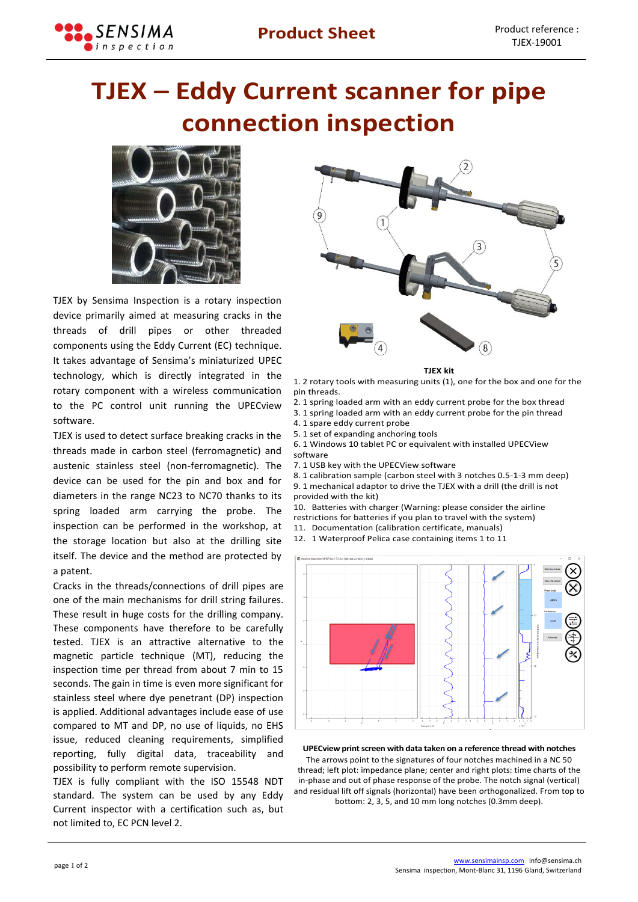

## **TJEX – Eddy Current scanner for pipe connection inspection**



TJEX by Sensima Inspection is a rotary inspection device primarily aimed at measuring cracks in the threads of drill pipes or other threaded components using the Eddy Current (EC) technique. It takes advantage of Sensima's miniaturized UPEC technology, which is directly integrated in the rotary component with a wireless communication to the PC control unit running the UPECview software.

TJEX is used to detect surface breaking cracks in the threads made in carbon steel (ferromagnetic) and austenic stainless steel (non-ferromagnetic). The device can be used for the pin and box and for diameters in the range NC23 to NC70 thanks to its spring loaded arm carrying the probe. The inspection can be performed in the workshop, at the storage location but also at the drilling site itself. The device and the method are protected by a patent.

Cracks in the threads/connections of drill pipes are one of the main mechanisms for drill string failures. These result in huge costs for the drilling company. These components have therefore to be carefully tested. TJEX is an attractive alternative to the magnetic particle technique (MT), reducing the inspection time per thread from about 7 min to 15 seconds. The gain in time is even more significant for stainless steel where dye penetrant (DP) inspection is applied. Additional advantages include ease of use compared to MT and DP, no use of liquids, no EHS issue, reduced cleaning requirements, simplified reporting, fully digital data, traceability and possibility to perform remote supervision.

TJEX is fully compliant with the ISO 15548 NDT standard. The system can be used by any Eddy Current inspector with a certification such as, but not limited to, EC PCN level 2.



**TJEX kit**

1. 2 rotary tools with measuring units (1), one for the box and one for the pin threads.

- 2. 1 spring loaded arm with an eddy current probe for the box thread
- 3. 1 spring loaded arm with an eddy current probe for the pin thread
- 4. 1 spare eddy current probe
- 5. 1 set of expanding anchoring tools
- 6. 1 Windows 10 tablet PC or equivalent with installed UPECView software
- 7. 1 USB key with the UPECView software
- 8. 1 calibration sample (carbon steel with 3 notches 0.5-1-3 mm deep) 9. 1 mechanical adaptor to drive the TJEX with a drill (the drill is not provided with the kit)
- 10. Batteries with charger (Warning: please consider the airline restrictions for batteries if you plan to travel with the system)
- 11. Documentation (calibration certificate, manuals) 12. 1 Waterproof Pelica case containing items 1 to 11
- 



## **UPECview print screen with data taken on a reference thread with notches**

The arrows point to the signatures of four notches machined in a NC 50 thread; left plot: impedance plane; center and right plots: time charts of the in-phase and out of phase response of the probe. The notch signal (vertical) and residual lift off signals (horizontal) have been orthogonalized. From top to bottom: 2, 3, 5, and 10 mm long notches (0.3mm deep).